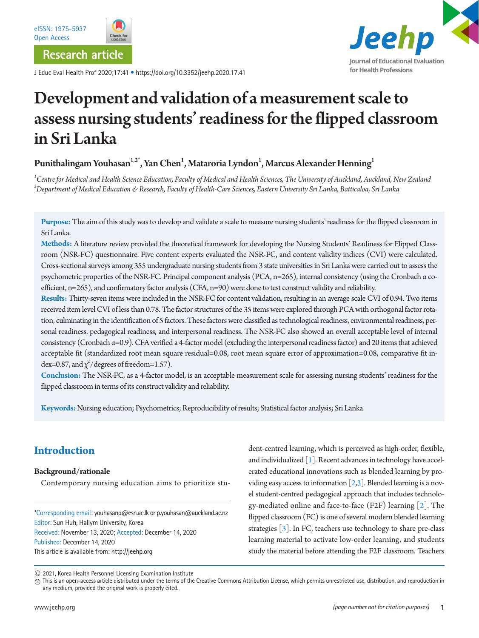**Research article**

J Educ Eval Health Prof 2020;17:41 • https://doi.org/10.3352/jeehp.2020.17.41



# Development and validation of a measurement scale to assess nursing students' readiness for the flipped classroom in Sri Lanka

## Punithalingam Youhasan $^{1,2^\ast},$  Yan Chen $^1$ , Mataroria Lyndon $^1$ , Marcus Alexander Henning $^1$

<sup>1</sup> Centre for Medical and Health Science Education, Faculty of Medical and Health Sciences, The University of Auckland, Auckland, New Zealand *2 Department of Medical Education & Research, Faculty of Health-Care Sciences, Eastern University Sri Lanka, Batticaloa, Sri Lanka* 

**Purpose:** The aim of this study was to develop and validate a scale to measure nursing students' readiness for the flipped classroom in Sri Lanka.

**Methods:** A literature review provided the theoretical framework for developing the Nursing Students' Readiness for Flipped Classroom (NSR-FC) questionnaire. Five content experts evaluated the NSR-FC, and content validity indices (CVI) were calculated. Cross-sectional surveys among 355 undergraduate nursing students from 3 state universities in Sri Lanka were carried out to assess the psychometric properties of the NSR-FC. Principal component analysis (PCA, n=265), internal consistency (using the Cronbach α coefficient, n=265), and confirmatory factor analysis (CFA, n=90) were done to test construct validity and reliability.

**Results:** Thirty-seven items were included in the NSR-FC for content validation, resulting in an average scale CVI of 0.94. Two items received item level CVI of less than 0.78. The factor structures of the 35 items were explored through PCA with orthogonal factor rotation, culminating in the identification of 5 factors. These factors were classified as technological readiness, environmental readiness, personal readiness, pedagogical readiness, and interpersonal readiness. The NSR-FC also showed an overall acceptable level of internal consistency (Cronbach α=0.9). CFA verified a 4-factor model (excluding the interpersonal readiness factor) and 20 items that achieved acceptable fit (standardized root mean square residual=0.08, root mean square error of approximation=0.08, comparative fit index=0.87, and  $\chi^2$ /degrees of freedom=1.57).

**Conclusion:** The NSR-FC, as a 4-factor model, is an acceptable measurement scale for assessing nursing students' readiness for the flipped classroom in terms of its construct validity and reliability.

**Keywords:** Nursing education; Psychometrics; Reproducibility of results; Statistical factor analysis; Sri Lanka

## **Introduction**

### **Background/rationale**

Contemporary nursing education aims to prioritize stu-

\*Corresponding email: youhasanp@esn.ac.lk or p.youhasan@auckland.ac.nz Editor: Sun Huh, Hallym University, Korea Received: November 13, 2020; Accepted: December 14, 2020 Published: December 14, 2020 This article is available from: http://jeehp.org

dent-centred learning, which is perceived as high-order, flexible, and individualized  $[1]$  $[1]$ . Recent advances in technology have accelerated educational innovations such as blended learning by providing easy access to information  $[2,3]$  $[2,3]$ . Blended learning is a novel student-centred pedagogical approach that includes technology-mediated online and face-to-face (F2F) learning [2]. The flipped classroom (FC) is one of several modern blended learning strategies [3]. In FC, teachers use technology to share pre-class learning material to activate low-order learning, and students study the material before attending the F2F classroom. Teachers

<sup>2021,</sup> Korea Health Personnel Licensing Examination Institute

 $\textcircled{\tiny{}}$  This is an open-access article distributed under the terms of the Creative Commons Attribution License, which permits unrestricted use, distribution, and reproduction in any medium, provided the original work is properly cited.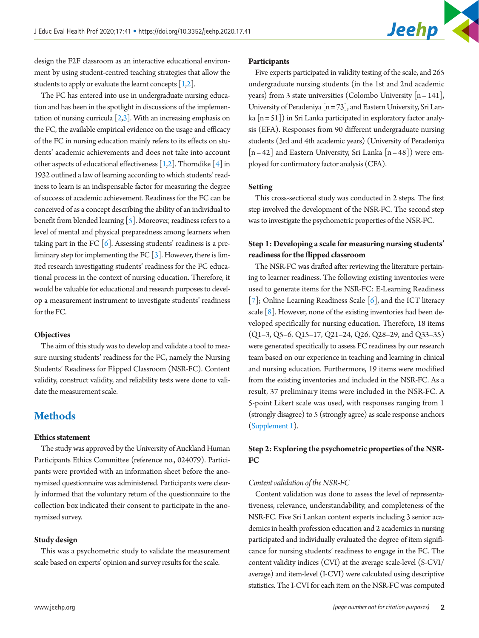

design the F2F classroom as an interactive educational environment by using student-centred teaching strategies that allow the students to apply or evaluate the learnt concepts  $[1,2]$ .

The FC has entered into use in undergraduate nursing education and has been in the spotlight in discussions of the implementation of nursing curricula  $[2,3]$ . With an increasing emphasis on the FC, the available empirical evidence on the usage and efficacy of the FC in nursing education mainly refers to its effects on students' academic achievements and does not take into account other aspects of educational effectiveness  $[1,2]$ . Thorndike  $[4]$  in 1932 outlined a law of learning according to which students' readiness to learn is an indispensable factor for measuring the degree of success of academic achievement. Readiness for the FC can be conceived of as a concept describing the ability of an individual to benefit from blended learning  $[5]$ . Moreover, readiness refers to a level of mental and physical preparedness among learners when taking part in the FC  $[6]$ . Assessing students' readiness is a preliminary step for implementing the FC  $\lceil 3 \rceil$ . However, there is limited research investigating students' readiness for the FC educational process in the context of nursing education. Therefore, it would be valuable for educational and research purposes to develop a measurement instrument to investigate students' readiness for the FC.

#### **Objectives**

The aim of this study was to develop and validate a tool to measure nursing students' readiness for the FC, namely the Nursing Students' Readiness for Flipped Classroom (NSR-FC). Content validity, construct validity, and reliability tests were done to validate the measurement scale.

## **Methods**

#### **Ethics statement**

The study was approved by the University of Auckland Human Participants Ethics Committee (reference no., 024079). Participants were provided with an information sheet before the anonymized questionnaire was administered. Participants were clearly informed that the voluntary return of the questionnaire to the collection box indicated their consent to participate in the anonymized survey.

#### **Study design**

This was a psychometric study to validate the measurement scale based on experts' opinion and survey results for the scale.

#### **Participants**

Five experts participated in validity testing of the scale, and 265 undergraduate nursing students (in the 1st and 2nd academic years) from 3 state universities (Colombo University  $[n = 141]$ , University of Peradeniya [n = 73], and Eastern University, Sri Lanka  $[n = 51]$ ) in Sri Lanka participated in exploratory factor analysis (EFA). Responses from 90 different undergraduate nursing students (3rd and 4th academic years) (University of Peradeniya  $[n=42]$  and Eastern University, Sri Lanka  $[n=48]$ ) were employed for confirmatory factor analysis (CFA).

#### **Setting**

This cross-sectional study was conducted in 2 steps. The first step involved the development of the NSR-FC. The second step was to investigate the psychometric properties of the NSR-FC.

## **Step 1: Developing a scale for measuring nursing students' readiness for the flipped classroom**

The NSR-FC was drafted after reviewing the literature pertaining to learner readiness. The following existing inventories were used to generate items for the NSR-FC: E-Learning Readiness  $[7]$ ; Online Learning Readiness Scale  $[6]$ , and the ICT literacy scale  $[8]$ . However, none of the existing inventories had been developed specifically for nursing education. Therefore, 18 items (Q1–3, Q5–6, Q15–17, Q21–24, Q26, Q28–29, and Q33–35) were generated specifically to assess FC readiness by our research team based on our experience in teaching and learning in clinical and nursing education. Furthermore, 19 items were modified from the existing inventories and included in the NSR-FC. As a result, 37 preliminary items were included in the NSR-FC. A 5-point Likert scale was used, with responses ranging from 1 (strongly disagree) to 5 (strongly agree) as scale response anchors [\(Supplement 1\)](#page-5-3).

### **Step 2: Exploring the psychometric properties of the NSR-FC**

#### *Content validation of the NSR-FC*

Content validation was done to assess the level of representativeness, relevance, understandability, and completeness of the NSR-FC. Five Sri Lankan content experts including 3 senior academics in health profession education and 2 academics in nursing participated and individually evaluated the degree of item significance for nursing students' readiness to engage in the FC. The content validity indices (CVI) at the average scale-level (S-CVI/ average) and item-level (I-CVI) were calculated using descriptive statistics. The I-CVI for each item on the NSR-FC was computed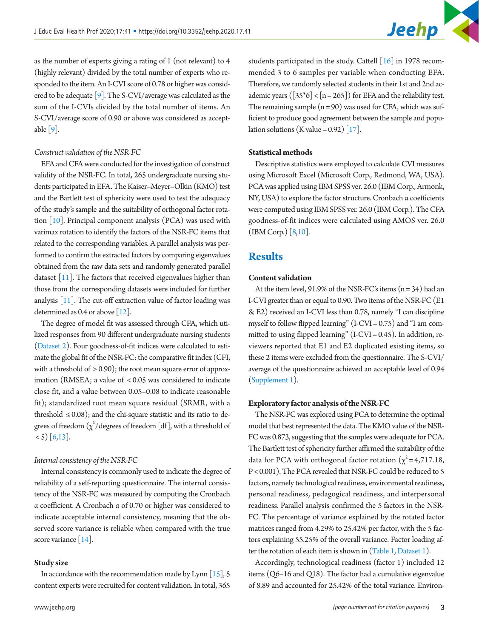

as the number of experts giving a rating of 1 (not relevant) to 4 (highly relevant) divided by the total number of experts who responded to the item. An I-CVI score of 0.78 or higher was considered to be adequate [\[9\]](#page-6-4). The S-CVI/average was calculated as the sum of the I-CVIs divided by the total number of items. An S-CVI/average score of 0.90 or above was considered as accept-able [\[9](#page-6-4)].

#### *Construct validation of the NSR-FC*

EFA and CFA were conducted for the investigation of construct validity of the NSR-FC. In total, 265 undergraduate nursing students participated in EFA. The Kaiser–Meyer–Olkin (KMO) test and the Bartlett test of sphericity were used to test the adequacy of the study's sample and the suitability of orthogonal factor rotation [\[10\]](#page-6-5). Principal component analysis (PCA) was used with varimax rotation to identify the factors of the NSR-FC items that related to the corresponding variables. A parallel analysis was performed to confirm the extracted factors by comparing eigenvalues obtained from the raw data sets and randomly generated parallel dataset  $[11]$  $[11]$ . The factors that received eigenvalues higher than those from the corresponding datasets were included for further analysis  $[11]$  $[11]$ . The cut-off extraction value of factor loading was determined as 0.4 or above [\[12\]](#page-6-7).

The degree of model fit was assessed through CFA, which utilized responses from 90 different undergraduate nursing students [\(Dataset 2](#page-5-4)). Four goodness-of-fit indices were calculated to estimate the global fit of the NSR-FC: the comparative fit index (CFI, with a threshold of  $> 0.90$ ); the root mean square error of approximation (RMSEA; a value of < 0.05 was considered to indicate close fit, and a value between 0.05–0.08 to indicate reasonable fit); standardized root mean square residual (SRMR, with a threshold  $\leq$  0.08); and the chi-square statistic and its ratio to degrees of freedom  $(\chi^2/\text{degrees of freedom [df]},$  with a threshold of  $(5)$  [6[,13\]](#page-6-8).

#### *Internal consistency of the NSR-FC*

Internal consistency is commonly used to indicate the degree of reliability of a self-reporting questionnaire. The internal consistency of the NSR-FC was measured by computing the Cronbach α coefficient. A Cronbach α of 0.70 or higher was considered to indicate acceptable internal consistency, meaning that the observed score variance is reliable when compared with the true score variance [\[14](#page-6-9)].

#### **Study size**

In accordance with the recommendation made by Lynn  $[15]$ , 5 content experts were recruited for content validation. In total, 365

students participated in the study. Cattell  $\lceil 16 \rceil$  in 1978 recommended 3 to 6 samples per variable when conducting EFA. Therefore, we randomly selected students in their 1st and 2nd academic years ( $\lceil 35*6 \rceil < \lceil n = 265 \rceil$ ) for EFA and the reliability test. The remaining sample  $(n = 90)$  was used for CFA, which was sufficient to produce good agreement between the sample and population solutions (K value =  $0.92$ ) [\[17\]](#page-6-12).

#### **Statistical methods**

Descriptive statistics were employed to calculate CVI measures using Microsoft Excel (Microsoft Corp., Redmond, WA, USA). PCA was applied using IBM SPSS ver. 26.0 (IBM Corp., Armonk, NY, USA) to explore the factor structure. Cronbach α coefficients were computed using IBM SPSS ver. 26.0 (IBM Corp.). The CFA goodness-of-fit indices were calculated using AMOS ver. 26.0 (IBM Corp.) [8,10].

## **Results**

#### **Content validation**

At the item level,  $91.9\%$  of the NSR-FC's items  $(n = 34)$  had an I-CVI greater than or equal to 0.90. Two items of the NSR-FC (E1 & E2) received an I-CVI less than 0.78, namely "I can discipline myself to follow flipped learning" (I-CVI = 0.75) and "I am committed to using flipped learning" (I-CVI = 0.45). In addition, reviewers reported that E1 and E2 duplicated existing items, so these 2 items were excluded from the questionnaire. The S-CVI/ average of the questionnaire achieved an acceptable level of 0.94 [\(Supplement 1\)](#page-5-3).

#### **Exploratory factor analysis of the NSR-FC**

The NSR-FC was explored using PCA to determine the optimal model that best represented the data. The KMO value of the NSR-FC was 0.873, suggesting that the samples were adequate for PCA. The Bartlett test of sphericity further affirmed the suitability of the data for PCA with orthogonal factor rotation  $(\chi^2=4,717.18,$ P < 0.001). The PCA revealed that NSR-FC could be reduced to 5 factors, namely technological readiness, environmental readiness, personal readiness, pedagogical readiness, and interpersonal readiness. Parallel analysis confirmed the 5 factors in the NSR-FC. The percentage of variance explained by the rotated factor matrices ranged from 4.29% to 25.42% per factor, with the 5 factors explaining 55.25% of the overall variance. Factor loading after the rotation of each item is shown i[n](#page-3-0) [\(Table 1](#page-3-0), [Dataset 1\)](#page-5-4).

Accordingly, technological readiness (factor 1) included 12 items (Q6–16 and Q18). The factor had a cumulative eigenvalue of 8.89 and accounted for 25.42% of the total variance. Environ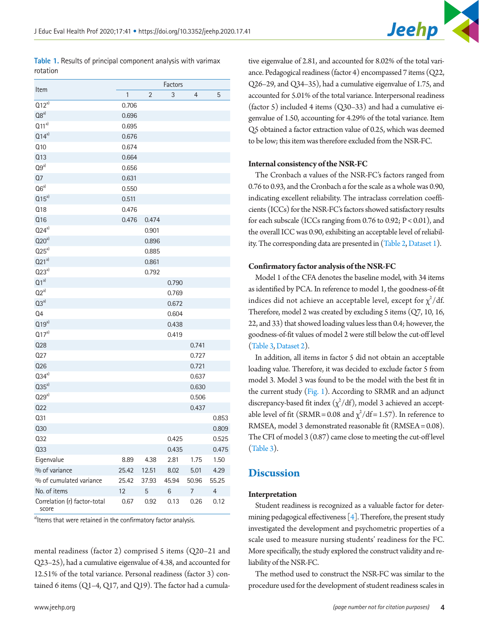<span id="page-3-0"></span>**Table 1.** Results of principal component analysis with varimax rotation

| Item                                  | Factors     |       |       |       |                          |
|---------------------------------------|-------------|-------|-------|-------|--------------------------|
|                                       | $\mathbf 1$ | 2     | 3     | 4     | 5                        |
| $Q12^{a}$                             | 0.706       |       |       |       |                          |
| Q8 <sup>a)</sup>                      | 0.696       |       |       |       |                          |
| $Q11^{a}$                             | 0.695       |       |       |       |                          |
| $Q14^{a}$                             | 0.676       |       |       |       |                          |
| Q10                                   | 0.674       |       |       |       |                          |
| Q13                                   | 0.664       |       |       |       |                          |
| Q9a)                                  | 0.656       |       |       |       |                          |
| Q7                                    | 0.631       |       |       |       |                          |
| $Q6a}$                                | 0.550       |       |       |       |                          |
| $Q15^{a}$                             | 0.511       |       |       |       |                          |
| Q18                                   | 0.476       |       |       |       |                          |
| Q16                                   | 0.476       | 0.474 |       |       |                          |
| $Q24^{a}$                             |             | 0.901 |       |       |                          |
| $Q20^{a}$                             |             | 0.896 |       |       |                          |
| $025a}$                               |             | 0.885 |       |       |                          |
| $Q21^{a}$                             |             | 0.861 |       |       |                          |
| $Q23a}$                               |             | 0.792 |       |       |                          |
| $Q1^{a}$                              |             |       | 0.790 |       |                          |
| $Q2^{a}$                              |             |       | 0.769 |       |                          |
| $Q3a}$                                |             |       | 0.672 |       |                          |
| Q <sub>4</sub>                        |             |       | 0.604 |       |                          |
| $Q19a}$                               |             |       | 0.438 |       |                          |
| $Q17^{a}$                             |             |       | 0.419 |       |                          |
| <b>Q28</b>                            |             |       |       | 0.741 |                          |
| 027                                   |             |       |       | 0.727 |                          |
| 026                                   |             |       |       | 0.721 |                          |
| $Q34a}$                               |             |       |       | 0.637 |                          |
| $Q35^{a}$                             |             |       |       | 0.630 |                          |
| $Q29a}$                               |             |       |       | 0.506 |                          |
| 022                                   |             |       |       | 0.437 |                          |
| Q31                                   |             |       |       |       | 0.853                    |
| Q30                                   |             |       |       |       | 0.809                    |
| 032                                   |             |       | 0.425 |       | 0.525                    |
| Q33                                   |             |       | 0.435 |       | 0.475                    |
| Eigenvalue                            | 8.89        | 4.38  | 2.81  | 1.75  | 1.50                     |
| % of variance                         | 25.42       | 12.51 | 8.02  | 5.01  | 4.29                     |
| % of cumulated variance               | 25.42       | 37.93 | 45.94 | 50.96 | 55.25                    |
| No. of items                          | 12          | 5     | 6     | 7     | $\overline{\mathcal{A}}$ |
| Correlation (r) factor-total<br>score | 0.67        | 0.92  | 0.13  | 0.26  | 0.12                     |

a)Items that were retained in the confirmatory factor analysis.

mental readiness (factor 2) comprised 5 items (Q20–21 and Q23–25), had a cumulative eigenvalue of 4.38, and accounted for 12.51% of the total variance. Personal readiness (factor 3) contained 6 items (Q1–4, Q17, and Q19). The factor had a cumula-

tive eigenvalue of 2.81, and accounted for 8.02% of the total variance. Pedagogical readiness (factor 4) encompassed 7 items (Q22, Q26–29, and Q34–35), had a cumulative eigenvalue of 1.75, and accounted for 5.01% of the total variance. Interpersonal readiness (factor 5) included 4 items (Q30–33) and had a cumulative eigenvalue of 1.50, accounting for 4.29% of the total variance. Item Q5 obtained a factor extraction value of 0.25, which was deemed to be low; this item was therefore excluded from the NSR-FC.

#### **Internal consistency of the NSR-FC**

The Cronbach α values of the NSR-FC's factors ranged from 0.76 to 0.93, and the Cronbach α for the scale as a whole was 0.90, indicating excellent reliability. The intraclass correlation coefficients (ICCs) for the NSR-FC's factors showed satisfactory results for each subscale (ICCs ranging from 0.76 to 0.92; P < 0.01), and the overall ICC was 0.90, exhibiting an acceptable level of reliability. The corresponding data are presented i[n \(Ta](#page-3-0)ble 2, [Dataset 1](#page-5-4)).

#### **Confirmatory factor analysis of the NSR-FC**

Model 1 of the CFA denotes the baseline model, with 34 items as identified by PCA. In reference to model 1, the goodness-of-fit indices did not achieve an acceptable level, except for  $\chi^2/\mathrm{df}.$ Therefore, model 2 was created by excluding 5 items (Q7, 10, 16, 22, and 33) that showed loading values less than 0.4; however, the goodness-of-fit values of model 2 were still below the cut-off level [\(Table 3](#page-4-0), [Dataset 2\)](#page-5-4).

In addition, all items in factor 5 did not obtain an acceptable loading value. Therefore, it was decided to exclude factor 5 from model 3. Model 3 was found to be the model with the best fit in the current study [\(Fig. 1\)](#page-4-1). According to SRMR and an adjunct discrepancy-based fit index  $(\chi^2/df)$ , model 3 achieved an acceptable level of fit (SRMR = 0.08 and  $\chi^2/df = 1.57$ ). In reference to RMSEA, model 3 demonstrated reasonable fit (RMSEA = 0.08). The CFI of model 3 (0.87) came close to meeting the cut-off level [\(Table 3](#page-4-0)).

## **Discussion**

#### **Interpretation**

Student readiness is recognized as a valuable factor for determining pedagogical effectiveness  $[4]$ . Therefore, the present study investigated the development and psychometric properties of a scale used to measure nursing students' readiness for the FC. More specifically, the study explored the construct validity and reliability of the NSR-FC.

The method used to construct the NSR-FC was similar to the procedure used for the development of student readiness scales in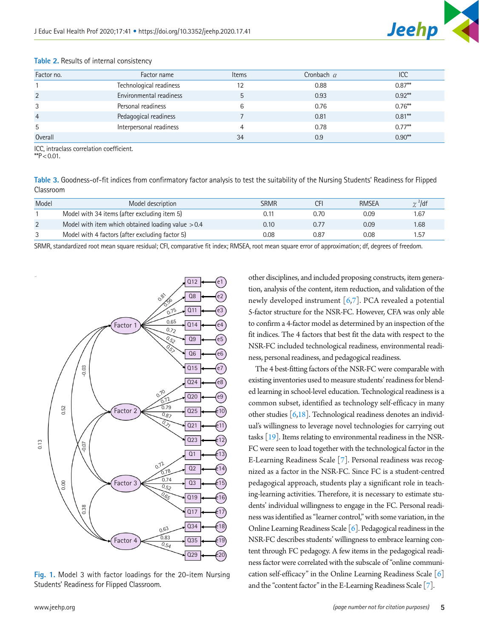| Factor no.     | Factor name             | <b>Items</b> | Cronbach $\alpha$ | ICC       |
|----------------|-------------------------|--------------|-------------------|-----------|
|                | Technological readiness | 12           | 0.88              | $0.87***$ |
| $\overline{2}$ | Environmental readiness | 5            | 0.93              | $0.92***$ |
| 3              | Personal readiness      | 6            | 0.76              | $0.76***$ |
| $\overline{4}$ | Pedagogical readiness   |              | 0.81              | $0.81***$ |
| 5              | Interpersonal readiness | 4            | 0.78              | $0.77***$ |
| Overall        |                         | 34           | 0.9               | $0.90**$  |

#### **Table 2.** Results of internal consistency

ICC, intraclass correlation coefficient.

\*\* $P$  < 0.01.

<span id="page-4-0"></span>**Table 3.** Goodness-of-fit indices from confirmatory factor analysis to test the suitability of the Nursing Students' Readiness for Flipped Classroom

| Model          | Model description                                   | SRMR | CFı  | <b>RMSEA</b> | $\gamma^2$ /df |
|----------------|-----------------------------------------------------|------|------|--------------|----------------|
|                | Model with 34 items (after excluding item 5)        | 0.11 | 0.70 | 0.09         | 1.67           |
| $\overline{2}$ | Model with item which obtained loading value $>0.4$ | 0.10 | 0.77 | 0.09         | 1.68           |
|                | Model with 4 factors (after excluding factor 5)     | 0.08 | 0.87 | 0.08         | 1.57           |

SRMR, standardized root mean square residual; CFI, comparative fit index; RMSEA, root mean square error of approximation; df, degrees of freedom.

<span id="page-4-1"></span>

**Fig. 1.** Model 3 with factor loadings for the 20-item Nursing Students' Readiness for Flipped Classroom.

other disciplines, and included proposing constructs, item generation, analysis of the content, item reduction, and validation of the newly developed instrument  $[6,7]$ . PCA revealed a potential 5-factor structure for the NSR-FC. However, CFA was only able to confirm a 4-factor model as determined by an inspection of the fit indices. The 4 factors that best fit the data with respect to the NSR-FC included technological readiness, environmental readiness, personal readiness, and pedagogical readiness.

The 4 best-fitting factors of the NSR-FC were comparable with existing inventories used to measure students' readiness for blended learning in school-level education. Technological readiness is a common subset, identified as technology self-efficacy in many other studies  $\lceil 6,18 \rceil$  $\lceil 6,18 \rceil$  $\lceil 6,18 \rceil$ . Technological readiness denotes an individual's willingness to leverage novel technologies for carrying out tasks [\[19\]](#page-6-14). Items relating to environmental readiness in the NSR-FC were seen to load together with the technological factor in the E-Learning Readiness Scale [7]. Personal readiness was recognized as a factor in the NSR-FC. Since FC is a student-centred pedagogical approach, students play a significant role in teaching-learning activities. Therefore, it is necessary to estimate students' individual willingness to engage in the FC. Personal readiness was identified as "learner control," with some variation, in the Online Learning Readiness Scale [6]. Pedagogical readiness in the NSR-FC describes students' willingness to embrace learning content through FC pedagogy. A few items in the pedagogical readiness factor were correlated with the subscale of "online communication self-efficacy" in the Online Learning Readiness Scale [6] and the "content factor" in the E-Learning Readiness Scale [7].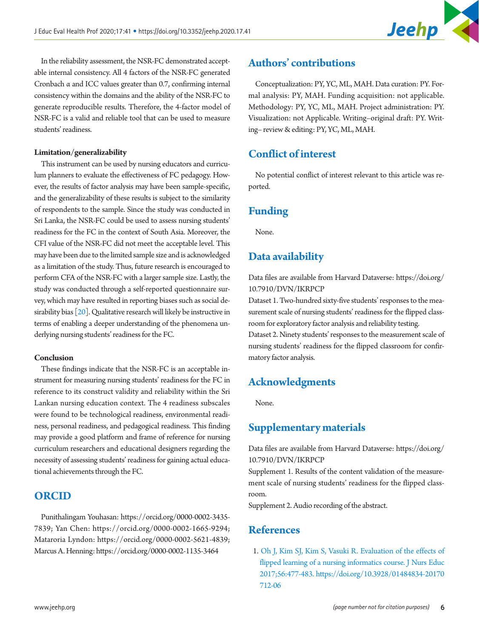

In the reliability assessment, the NSR-FC demonstrated acceptable internal consistency. All 4 factors of the NSR-FC generated Cronbach α and ICC values greater than 0.7, confirming internal consistency within the domains and the ability of the NSR-FC to generate reproducible results. Therefore, the 4-factor model of NSR-FC is a valid and reliable tool that can be used to measure students' readiness.

#### **Limitation/generalizability**

This instrument can be used by nursing educators and curriculum planners to evaluate the effectiveness of FC pedagogy. However, the results of factor analysis may have been sample-specific, and the generalizability of these results is subject to the similarity of respondents to the sample. Since the study was conducted in Sri Lanka, the NSR-FC could be used to assess nursing students' readiness for the FC in the context of South Asia. Moreover, the CFI value of the NSR-FC did not meet the acceptable level. This may have been due to the limited sample size and is acknowledged as a limitation of the study. Thus, future research is encouraged to perform CFA of the NSR-FC with a larger sample size. Lastly, the study was conducted through a self-reported questionnaire survey, which may have resulted in reporting biases such as social desirability bias [[20](#page-6-15)]. Qualitative research will likely be instructive in terms of enabling a deeper understanding of the phenomena underlying nursing students' readiness for the FC.

#### **Conclusion**

These findings indicate that the NSR-FC is an acceptable instrument for measuring nursing students' readiness for the FC in reference to its construct validity and reliability within the Sri Lankan nursing education context. The 4 readiness subscales were found to be technological readiness, environmental readiness, personal readiness, and pedagogical readiness. This finding may provide a good platform and frame of reference for nursing curriculum researchers and educational designers regarding the necessity of assessing students' readiness for gaining actual educational achievements through the FC.

## **ORCID**

Punithalingam Youhasan: [https://orcid.org/0000-0002-3435-](http://orcid.org/0000-0002-3435-7839) [783](http://orcid.org/0000-0002-3435-7839)9; Yan Chen: [https://orcid.org/0000-0002-1665-929](http://orcid.org/0000-0002-1665-9294)4; Mataroria Lyndon: [https://orcid.org/0000-0002-5621-483](http://orcid.org/0000-0002-5621-4839)9; Marcus A. Henning: [https://orcid.org/0000-0002-1135-3464](http://orcid.org/0000-0002-1135-3464)

## **Authors' contributions**

Conceptualization: PY, YC, ML, MAH. Data curation: PY. Formal analysis: PY, MAH. Funding acquisition: not applicable. Methodology: PY, YC, ML, MAH. Project administration: PY. Visualization: not Applicable. Writing–original draft: PY. Writing– review & editing: PY, YC, ML, MAH.

## **Conflict of interest**

No potential conflict of interest relevant to this article was reported.

## **Funding**

None.

## <span id="page-5-4"></span>**Data availability**

Data files are available from Harvard Dataverse: [https://doi.org/](https://doi.org/10.7910/DVN/IKRPCP) [10.7910/DVN/IKRPCP](https://doi.org/10.7910/DVN/IKRPCP)

Dataset 1. Two-hundred sixty-five students' responses to the measurement scale of nursing students' readiness for the flipped classroom for exploratory factor analysis and reliability testing.

Dataset 2. Ninety students' responses to the measurement scale of nursing students' readiness for the flipped classroom for confirmatory factor analysis.

## **Acknowledgments**

None.

## <span id="page-5-3"></span>**Supplementary materials**

Data files are available from Harvard Dataverse: [https://doi.org/](https://doi.org/10.7910/DVN/IKRPCP) [10.7910/DVN/IKRPCP](https://doi.org/10.7910/DVN/IKRPCP)

<span id="page-5-0"></span>Supplement 1. Results of the content validation of the measurement scale of nursing students' readiness for the flipped classroom.

<span id="page-5-1"></span>Supplement 2. Audio recording of the abstract.

## <span id="page-5-2"></span>**References**

1. Oh J, Kim SJ, Kim S, [Vasuki R. Evaluation of the effects of](https://doi.org/10.3928/01484834-20170712-06)  flipped learning of a nursing informatics course. J Nurs Educ [2017;56:477-483. https://doi.org/10.3928/01484834-20170](https://doi.org/10.3928/01484834-20170712-06) [712-06](https://doi.org/10.3928/01484834-20170712-06)